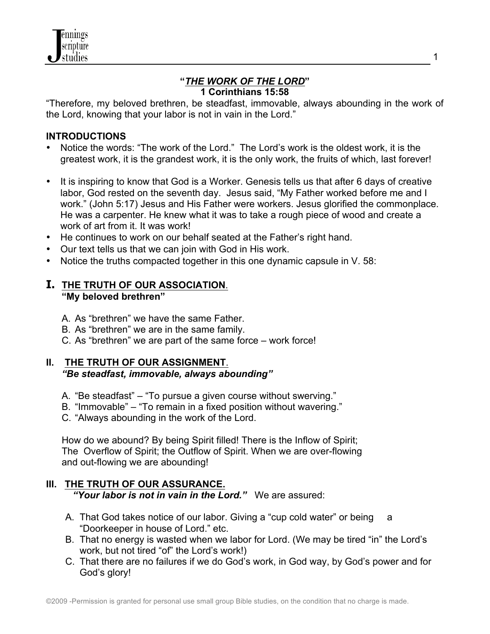### **"***THE WORK OF THE LORD***" 1 Corinthians 15:58**

"Therefore, my beloved brethren, be steadfast, immovable, always abounding in the work of the Lord, knowing that your labor is not in vain in the Lord."

## **INTRODUCTIONS**

- Notice the words: "The work of the Lord." The Lord's work is the oldest work, it is the greatest work, it is the grandest work, it is the only work, the fruits of which, last forever!
- It is inspiring to know that God is a Worker. Genesis tells us that after 6 days of creative labor, God rested on the seventh day. Jesus said, "My Father worked before me and I work." (John 5:17) Jesus and His Father were workers. Jesus glorified the commonplace. He was a carpenter. He knew what it was to take a rough piece of wood and create a work of art from it. It was work!
- He continues to work on our behalf seated at the Father's right hand.
- Our text tells us that we can join with God in His work.
- Notice the truths compacted together in this one dynamic capsule in V. 58:

## **I. THE TRUTH OF OUR ASSOCIATION**. **"My beloved brethren"**

- A. As "brethren" we have the same Father.
- B. As "brethren" we are in the same family.
- C. As "brethren" we are part of the same force work force!

#### **II. THE TRUTH OF OUR ASSIGNMENT**. *"Be steadfast, immovable, always abounding"*

- A. "Be steadfast" "To pursue a given course without swerving."
- B. "Immovable" "To remain in a fixed position without wavering."
- C. "Always abounding in the work of the Lord.

How do we abound? By being Spirit filled! There is the Inflow of Spirit; The Overflow of Spirit; the Outflow of Spirit. When we are over-flowing and out-flowing we are abounding!

# **III. THE TRUTH OF OUR ASSURANCE.**

*"Your labor is not in vain in the Lord."* We are assured:

- A. That God takes notice of our labor. Giving a "cup cold water" or being a "Doorkeeper in house of Lord." etc.
- B. That no energy is wasted when we labor for Lord. (We may be tired "in" the Lord's work, but not tired "of" the Lord's work!)
- C. That there are no failures if we do God's work, in God way, by God's power and for God's glory!

1